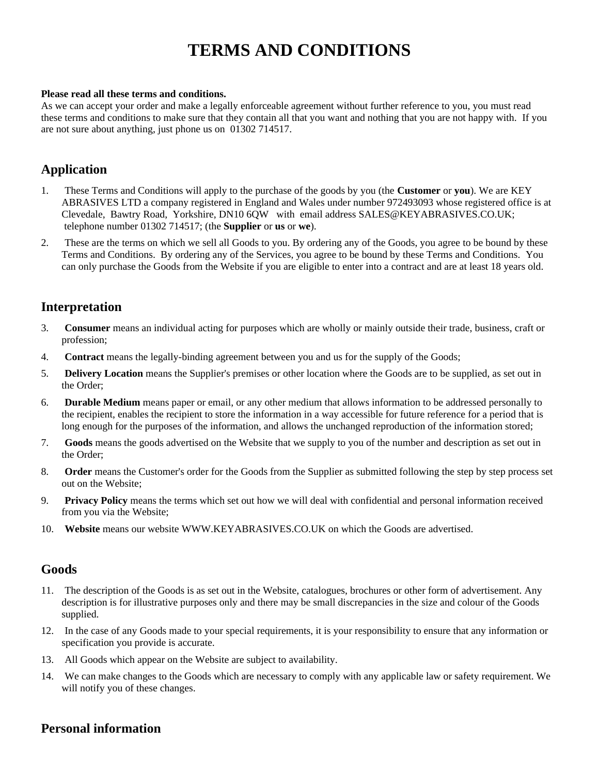# **TERMS AND CONDITIONS**

#### **Please read all these terms and conditions.**

As we can accept your order and make a legally enforceable agreement without further reference to you, you must read these terms and conditions to make sure that they contain all that you want and nothing that you are not happy with. If you are not sure about anything, just phone us on 01302 714517.

## **Application**

- 1. These Terms and Conditions will apply to the purchase of the goods by you (the **Customer** or **you**). We are KEY ABRASIVES LTD a company registered in England and Wales under number 972493093 whose registered office is at Clevedale, Bawtry Road, Yorkshire, DN10 6QW with email address SALES@KEYABRASIVES.CO.UK; telephone number 01302 714517; (the **Supplier** or **us** or **we**).
- 2. These are the terms on which we sell all Goods to you. By ordering any of the Goods, you agree to be bound by these Terms and Conditions. By ordering any of the Services, you agree to be bound by these Terms and Conditions. You can only purchase the Goods from the Website if you are eligible to enter into a contract and are at least 18 years old.

## **Interpretation**

- 3. **Consumer** means an individual acting for purposes which are wholly or mainly outside their trade, business, craft or profession;
- 4. **Contract** means the legally-binding agreement between you and us for the supply of the Goods;
- 5. **Delivery Location** means the Supplier's premises or other location where the Goods are to be supplied, as set out in the Order;
- 6. **Durable Medium** means paper or email, or any other medium that allows information to be addressed personally to the recipient, enables the recipient to store the information in a way accessible for future reference for a period that is long enough for the purposes of the information, and allows the unchanged reproduction of the information stored;
- 7. **Goods** means the goods advertised on the Website that we supply to you of the number and description as set out in the Order;
- 8. **Order** means the Customer's order for the Goods from the Supplier as submitted following the step by step process set out on the Website;
- 9. **Privacy Policy** means the terms which set out how we will deal with confidential and personal information received from you via the Website;
- 10. **Website** means our website WWW.KEYABRASIVES.CO.UK on which the Goods are advertised.

### **Goods**

- 11. The description of the Goods is as set out in the Website, catalogues, brochures or other form of advertisement. Any description is for illustrative purposes only and there may be small discrepancies in the size and colour of the Goods supplied.
- 12. In the case of any Goods made to your special requirements, it is your responsibility to ensure that any information or specification you provide is accurate.
- 13. All Goods which appear on the Website are subject to availability.
- 14. We can make changes to the Goods which are necessary to comply with any applicable law or safety requirement. We will notify you of these changes.

# **Personal information**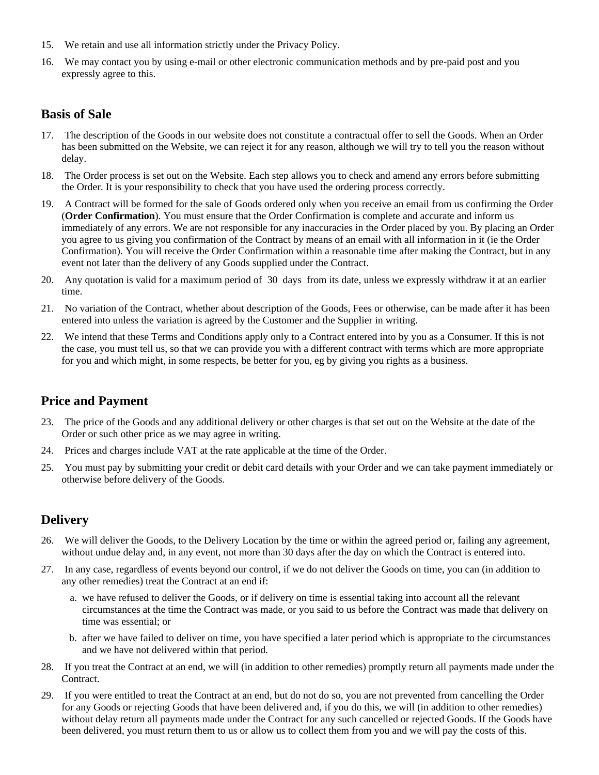- 15. We retain and use all information strictly under the Privacy Policy.
- 16. We may contact you by using e-mail or other electronic communication methods and by pre-paid post and you expressly agree to this.

# **Basis of Sale**

- 17. The description of the Goods in our website does not constitute a contractual offer to sell the Goods. When an Order has been submitted on the Website, we can reject it for any reason, although we will try to tell you the reason without delay.
- 18. The Order process is set out on the Website. Each step allows you to check and amend any errors before submitting the Order. It is your responsibility to check that you have used the ordering process correctly.
- 19. A Contract will be formed for the sale of Goods ordered only when you receive an email from us confirming the Order (**Order Confirmation**). You must ensure that the Order Confirmation is complete and accurate and inform us immediately of any errors. We are not responsible for any inaccuracies in the Order placed by you. By placing an Order you agree to us giving you confirmation of the Contract by means of an email with all information in it (ie the Order Confirmation). You will receive the Order Confirmation within a reasonable time after making the Contract, but in any event not later than the delivery of any Goods supplied under the Contract.
- 20. Any quotation is valid for a maximum period of 30 days from its date, unless we expressly withdraw it at an earlier time.
- 21. No variation of the Contract, whether about description of the Goods, Fees or otherwise, can be made after it has been entered into unless the variation is agreed by the Customer and the Supplier in writing.
- 22. We intend that these Terms and Conditions apply only to a Contract entered into by you as a Consumer. If this is not the case, you must tell us, so that we can provide you with a different contract with terms which are more appropriate for you and which might, in some respects, be better for you, eg by giving you rights as a business.

### **Price and Payment**

- 23. The price of the Goods and any additional delivery or other charges is that set out on the Website at the date of the Order or such other price as we may agree in writing.
- 24. Prices and charges include VAT at the rate applicable at the time of the Order.
- 25. You must pay by submitting your credit or debit card details with your Order and we can take payment immediately or otherwise before delivery of the Goods.

# **Delivery**

- 26. We will deliver the Goods, to the Delivery Location by the time or within the agreed period or, failing any agreement, without undue delay and, in any event, not more than 30 days after the day on which the Contract is entered into.
- 27. In any case, regardless of events beyond our control, if we do not deliver the Goods on time, you can (in addition to any other remedies) treat the Contract at an end if:
	- a. we have refused to deliver the Goods, or if delivery on time is essential taking into account all the relevant circumstances at the time the Contract was made, or you said to us before the Contract was made that delivery on time was essential; or
	- b. after we have failed to deliver on time, you have specified a later period which is appropriate to the circumstances and we have not delivered within that period.
- 28. If you treat the Contract at an end, we will (in addition to other remedies) promptly return all payments made under the Contract.
- 29. If you were entitled to treat the Contract at an end, but do not do so, you are not prevented from cancelling the Order for any Goods or rejecting Goods that have been delivered and, if you do this, we will (in addition to other remedies) without delay return all payments made under the Contract for any such cancelled or rejected Goods. If the Goods have been delivered, you must return them to us or allow us to collect them from you and we will pay the costs of this.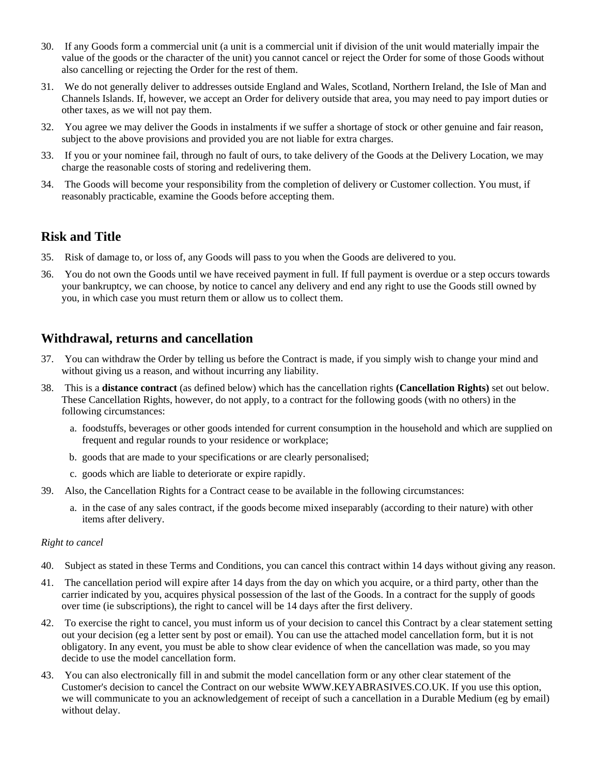- 30. If any Goods form a commercial unit (a unit is a commercial unit if division of the unit would materially impair the value of the goods or the character of the unit) you cannot cancel or reject the Order for some of those Goods without also cancelling or rejecting the Order for the rest of them.
- 31. We do not generally deliver to addresses outside England and Wales, Scotland, Northern Ireland, the Isle of Man and Channels Islands. If, however, we accept an Order for delivery outside that area, you may need to pay import duties or other taxes, as we will not pay them.
- 32. You agree we may deliver the Goods in instalments if we suffer a shortage of stock or other genuine and fair reason, subject to the above provisions and provided you are not liable for extra charges.
- 33. If you or your nominee fail, through no fault of ours, to take delivery of the Goods at the Delivery Location, we may charge the reasonable costs of storing and redelivering them.
- 34. The Goods will become your responsibility from the completion of delivery or Customer collection. You must, if reasonably practicable, examine the Goods before accepting them.

### **Risk and Title**

- 35. Risk of damage to, or loss of, any Goods will pass to you when the Goods are delivered to you.
- 36. You do not own the Goods until we have received payment in full. If full payment is overdue or a step occurs towards your bankruptcy, we can choose, by notice to cancel any delivery and end any right to use the Goods still owned by you, in which case you must return them or allow us to collect them.

## **Withdrawal, returns and cancellation**

- 37. You can withdraw the Order by telling us before the Contract is made, if you simply wish to change your mind and without giving us a reason, and without incurring any liability.
- 38. This is a **distance contract** (as defined below) which has the cancellation rights **(Cancellation Rights)** set out below. These Cancellation Rights, however, do not apply, to a contract for the following goods (with no others) in the following circumstances:
	- a. foodstuffs, beverages or other goods intended for current consumption in the household and which are supplied on frequent and regular rounds to your residence or workplace;
	- b. goods that are made to your specifications or are clearly personalised;
	- c. goods which are liable to deteriorate or expire rapidly.
- 39. Also, the Cancellation Rights for a Contract cease to be available in the following circumstances:
	- a. in the case of any sales contract, if the goods become mixed inseparably (according to their nature) with other items after delivery.

### *Right to cancel*

- 40. Subject as stated in these Terms and Conditions, you can cancel this contract within 14 days without giving any reason.
- 41. The cancellation period will expire after 14 days from the day on which you acquire, or a third party, other than the carrier indicated by you, acquires physical possession of the last of the Goods. In a contract for the supply of goods over time (ie subscriptions), the right to cancel will be 14 days after the first delivery.
- 42. To exercise the right to cancel, you must inform us of your decision to cancel this Contract by a clear statement setting out your decision (eg a letter sent by post or email). You can use the attached model cancellation form, but it is not obligatory. In any event, you must be able to show clear evidence of when the cancellation was made, so you may decide to use the model cancellation form.
- 43. You can also electronically fill in and submit the model cancellation form or any other clear statement of the Customer's decision to cancel the Contract on our website WWW.KEYABRASIVES.CO.UK. If you use this option, we will communicate to you an acknowledgement of receipt of such a cancellation in a Durable Medium (eg by email) without delay.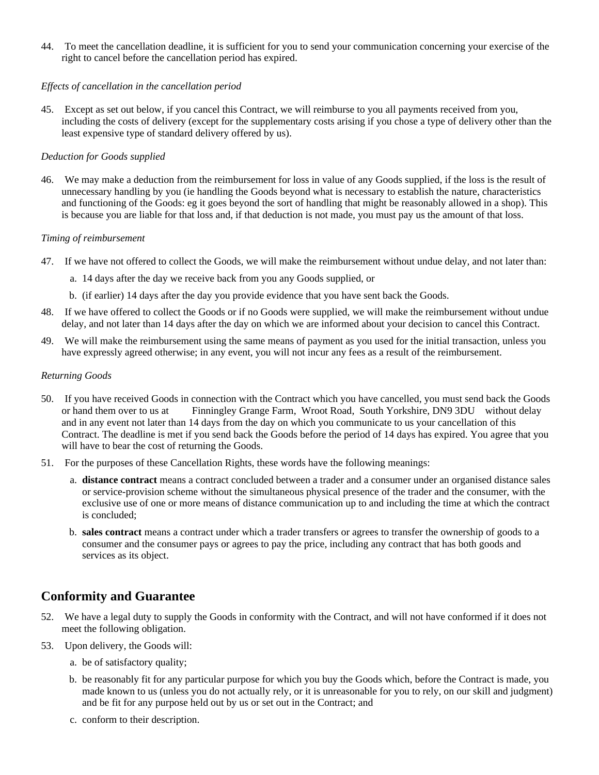44. To meet the cancellation deadline, it is sufficient for you to send your communication concerning your exercise of the right to cancel before the cancellation period has expired.

### *Effects of cancellation in the cancellation period*

45. Except as set out below, if you cancel this Contract, we will reimburse to you all payments received from you, including the costs of delivery (except for the supplementary costs arising if you chose a type of delivery other than the least expensive type of standard delivery offered by us).

### *Deduction for Goods supplied*

46. We may make a deduction from the reimbursement for loss in value of any Goods supplied, if the loss is the result of unnecessary handling by you (ie handling the Goods beyond what is necessary to establish the nature, characteristics and functioning of the Goods: eg it goes beyond the sort of handling that might be reasonably allowed in a shop). This is because you are liable for that loss and, if that deduction is not made, you must pay us the amount of that loss.

### *Timing of reimbursement*

- 47. If we have not offered to collect the Goods, we will make the reimbursement without undue delay, and not later than:
	- a. 14 days after the day we receive back from you any Goods supplied, or
	- b. (if earlier) 14 days after the day you provide evidence that you have sent back the Goods.
- 48. If we have offered to collect the Goods or if no Goods were supplied, we will make the reimbursement without undue delay, and not later than 14 days after the day on which we are informed about your decision to cancel this Contract.
- 49. We will make the reimbursement using the same means of payment as you used for the initial transaction, unless you have expressly agreed otherwise; in any event, you will not incur any fees as a result of the reimbursement.

### *Returning Goods*

- 50. If you have received Goods in connection with the Contract which you have cancelled, you must send back the Goods or hand them over to us at Finningley Grange Farm, Wroot Road, South Yorkshire, DN9 3DU without delay and in any event not later than 14 days from the day on which you communicate to us your cancellation of this Contract. The deadline is met if you send back the Goods before the period of 14 days has expired. You agree that you will have to bear the cost of returning the Goods.
- 51. For the purposes of these Cancellation Rights, these words have the following meanings:
	- a. **distance contract** means a contract concluded between a trader and a consumer under an organised distance sales or service-provision scheme without the simultaneous physical presence of the trader and the consumer, with the exclusive use of one or more means of distance communication up to and including the time at which the contract is concluded;
	- b. **sales contract** means a contract under which a trader transfers or agrees to transfer the ownership of goods to a consumer and the consumer pays or agrees to pay the price, including any contract that has both goods and services as its object.

# **Conformity and Guarantee**

- 52. We have a legal duty to supply the Goods in conformity with the Contract, and will not have conformed if it does not meet the following obligation.
- 53. Upon delivery, the Goods will:
	- a. be of satisfactory quality;
	- b. be reasonably fit for any particular purpose for which you buy the Goods which, before the Contract is made, you made known to us (unless you do not actually rely, or it is unreasonable for you to rely, on our skill and judgment) and be fit for any purpose held out by us or set out in the Contract; and
	- c. conform to their description.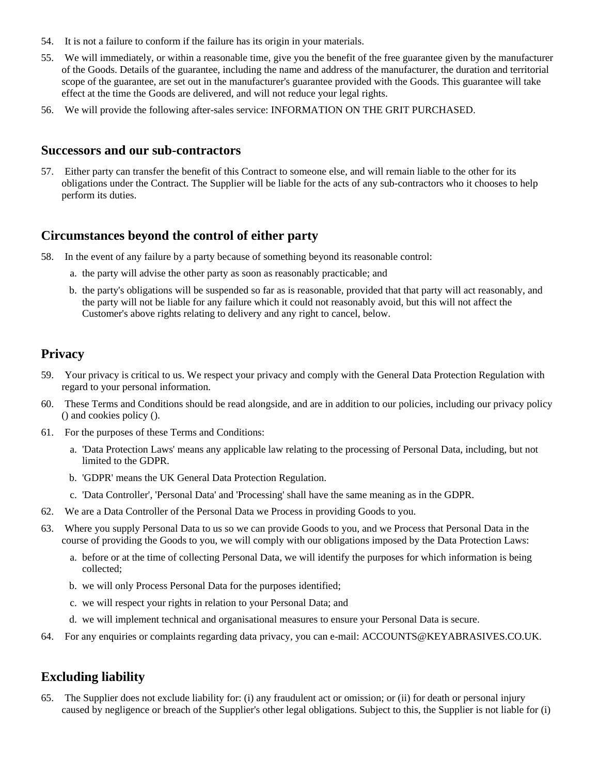- 54. It is not a failure to conform if the failure has its origin in your materials.
- 55. We will immediately, or within a reasonable time, give you the benefit of the free guarantee given by the manufacturer of the Goods. Details of the guarantee, including the name and address of the manufacturer, the duration and territorial scope of the guarantee, are set out in the manufacturer's guarantee provided with the Goods. This guarantee will take effect at the time the Goods are delivered, and will not reduce your legal rights.
- 56. We will provide the following after-sales service: INFORMATION ON THE GRIT PURCHASED.

### **Successors and our sub-contractors**

57. Either party can transfer the benefit of this Contract to someone else, and will remain liable to the other for its obligations under the Contract. The Supplier will be liable for the acts of any sub-contractors who it chooses to help perform its duties.

### **Circumstances beyond the control of either party**

- 58. In the event of any failure by a party because of something beyond its reasonable control:
	- a. the party will advise the other party as soon as reasonably practicable; and
	- b. the party's obligations will be suspended so far as is reasonable, provided that that party will act reasonably, and the party will not be liable for any failure which it could not reasonably avoid, but this will not affect the Customer's above rights relating to delivery and any right to cancel, below.

### **Privacy**

- 59. Your privacy is critical to us. We respect your privacy and comply with the General Data Protection Regulation with regard to your personal information.
- 60. These Terms and Conditions should be read alongside, and are in addition to our policies, including our privacy policy () and cookies policy ().
- 61. For the purposes of these Terms and Conditions:
	- a. 'Data Protection Laws' means any applicable law relating to the processing of Personal Data, including, but not limited to the GDPR.
	- b. 'GDPR' means the UK General Data Protection Regulation.
	- c. 'Data Controller', 'Personal Data' and 'Processing' shall have the same meaning as in the GDPR.
- 62. We are a Data Controller of the Personal Data we Process in providing Goods to you.
- 63. Where you supply Personal Data to us so we can provide Goods to you, and we Process that Personal Data in the course of providing the Goods to you, we will comply with our obligations imposed by the Data Protection Laws:
	- a. before or at the time of collecting Personal Data, we will identify the purposes for which information is being collected;
	- b. we will only Process Personal Data for the purposes identified;
	- c. we will respect your rights in relation to your Personal Data; and
	- d. we will implement technical and organisational measures to ensure your Personal Data is secure.
- 64. For any enquiries or complaints regarding data privacy, you can e-mail: ACCOUNTS@KEYABRASIVES.CO.UK.

# **Excluding liability**

65. The Supplier does not exclude liability for: (i) any fraudulent act or omission; or (ii) for death or personal injury caused by negligence or breach of the Supplier's other legal obligations. Subject to this, the Supplier is not liable for (i)